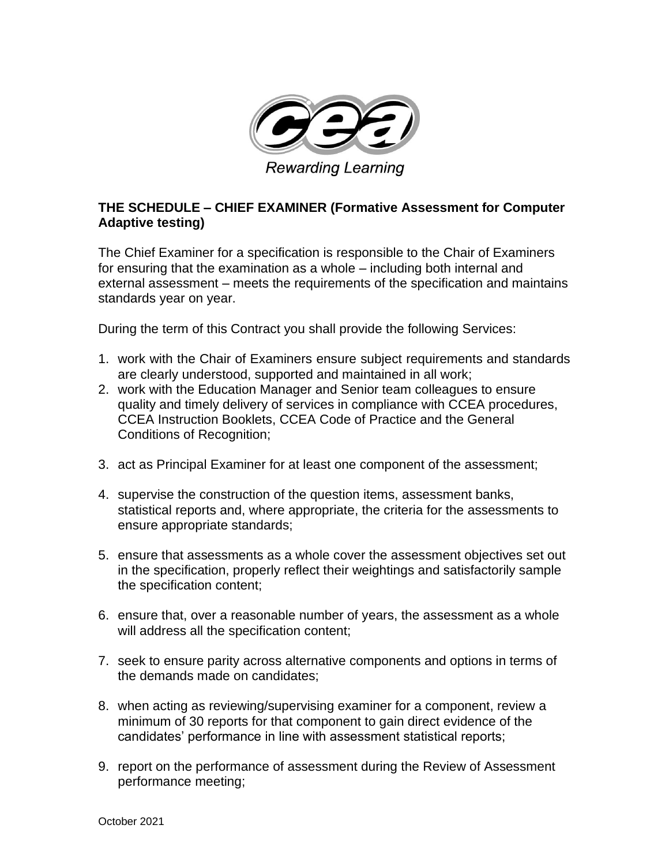

Rewarding Learning

## **THE SCHEDULE – CHIEF EXAMINER (Formative Assessment for Computer Adaptive testing)**

The Chief Examiner for a specification is responsible to the Chair of Examiners for ensuring that the examination as a whole – including both internal and external assessment – meets the requirements of the specification and maintains standards year on year.

During the term of this Contract you shall provide the following Services:

- 1. work with the Chair of Examiners ensure subject requirements and standards are clearly understood, supported and maintained in all work;
- 2. work with the Education Manager and Senior team colleagues to ensure quality and timely delivery of services in compliance with CCEA procedures, CCEA Instruction Booklets, CCEA Code of Practice and the General Conditions of Recognition;
- 3. act as Principal Examiner for at least one component of the assessment;
- 4. supervise the construction of the question items, assessment banks, statistical reports and, where appropriate, the criteria for the assessments to ensure appropriate standards;
- 5. ensure that assessments as a whole cover the assessment objectives set out in the specification, properly reflect their weightings and satisfactorily sample the specification content;
- 6. ensure that, over a reasonable number of years, the assessment as a whole will address all the specification content;
- 7. seek to ensure parity across alternative components and options in terms of the demands made on candidates;
- 8. when acting as reviewing/supervising examiner for a component, review a minimum of 30 reports for that component to gain direct evidence of the candidates' performance in line with assessment statistical reports;
- 9. report on the performance of assessment during the Review of Assessment performance meeting;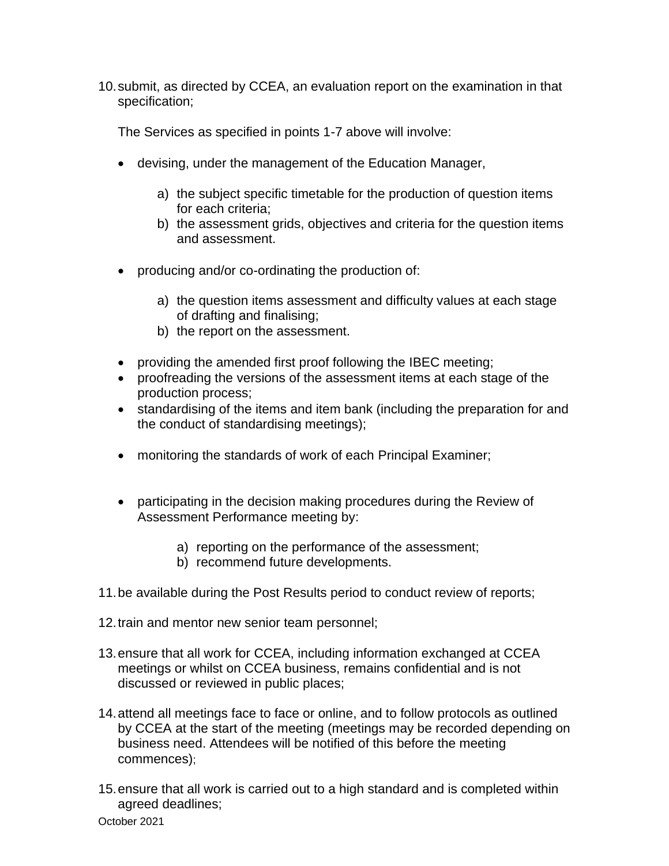10.submit, as directed by CCEA, an evaluation report on the examination in that specification;

The Services as specified in points 1-7 above will involve:

- devising, under the management of the Education Manager,
	- a) the subject specific timetable for the production of question items for each criteria;
	- b) the assessment grids, objectives and criteria for the question items and assessment.
- producing and/or co-ordinating the production of:
	- a) the question items assessment and difficulty values at each stage of drafting and finalising;
	- b) the report on the assessment.
- providing the amended first proof following the IBEC meeting;
- proofreading the versions of the assessment items at each stage of the production process;
- standardising of the items and item bank (including the preparation for and the conduct of standardising meetings);
- monitoring the standards of work of each Principal Examiner;
- participating in the decision making procedures during the Review of Assessment Performance meeting by:
	- a) reporting on the performance of the assessment;
	- b) recommend future developments.
- 11.be available during the Post Results period to conduct review of reports;
- 12.train and mentor new senior team personnel;
- 13.ensure that all work for CCEA, including information exchanged at CCEA meetings or whilst on CCEA business, remains confidential and is not discussed or reviewed in public places;
- 14.attend all meetings face to face or online, and to follow protocols as outlined by CCEA at the start of the meeting (meetings may be recorded depending on business need. Attendees will be notified of this before the meeting commences);
- 15.ensure that all work is carried out to a high standard and is completed within agreed deadlines;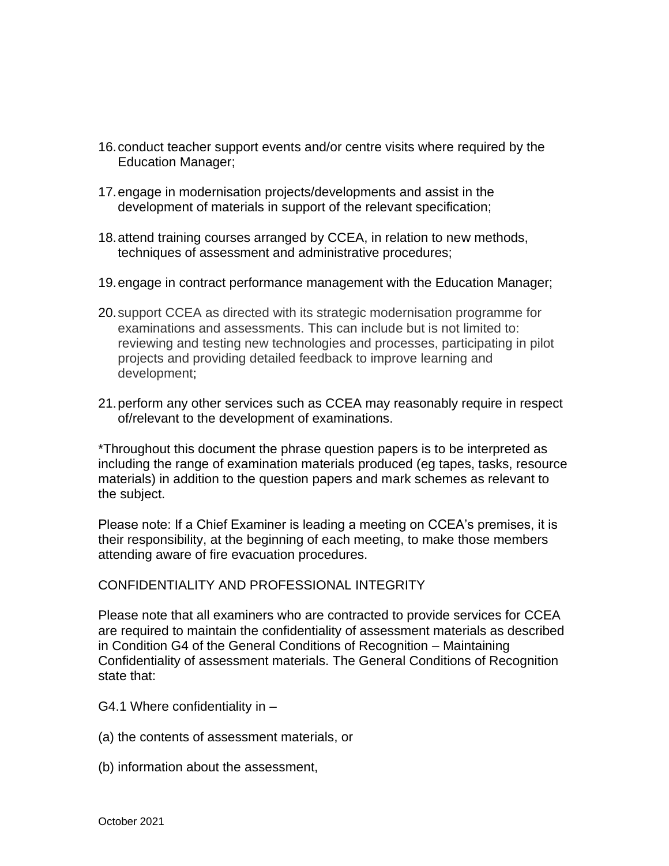- 16.conduct teacher support events and/or centre visits where required by the Education Manager;
- 17.engage in modernisation projects/developments and assist in the development of materials in support of the relevant specification;
- 18.attend training courses arranged by CCEA, in relation to new methods, techniques of assessment and administrative procedures;
- 19.engage in contract performance management with the Education Manager;
- 20.support CCEA as directed with its strategic modernisation programme for examinations and assessments. This can include but is not limited to: reviewing and testing new technologies and processes, participating in pilot projects and providing detailed feedback to improve learning and development;
- 21.perform any other services such as CCEA may reasonably require in respect of/relevant to the development of examinations.

\*Throughout this document the phrase question papers is to be interpreted as including the range of examination materials produced (eg tapes, tasks, resource materials) in addition to the question papers and mark schemes as relevant to the subject.

Please note: If a Chief Examiner is leading a meeting on CCEA's premises, it is their responsibility, at the beginning of each meeting, to make those members attending aware of fire evacuation procedures.

## CONFIDENTIALITY AND PROFESSIONAL INTEGRITY

Please note that all examiners who are contracted to provide services for CCEA are required to maintain the confidentiality of assessment materials as described in Condition G4 of the General Conditions of Recognition – Maintaining Confidentiality of assessment materials. The General Conditions of Recognition state that:

- G4.1 Where confidentiality in –
- (a) the contents of assessment materials, or
- (b) information about the assessment,